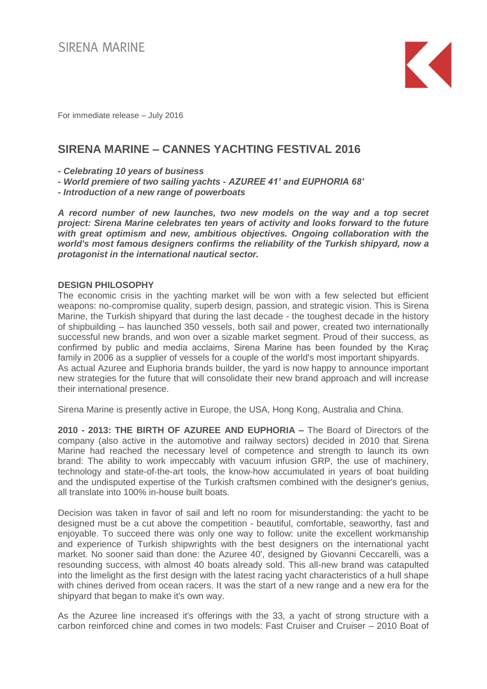

For immediate release – July 2016

# **SIRENA MARINE – CANNES YACHTING FESTIVAL 2016**

*- Celebrating 10 years of business*

- *- World premiere of two sailing yachts - AZUREE 41' and EUPHORIA 68'*
- *- Introduction of a new range of powerboats*

*A record number of new launches, two new models on the way and a top secret project: Sirena Marine celebrates ten years of activity and looks forward to the future with great optimism and new, ambitious objectives. Ongoing collaboration with the world's most famous designers confirms the reliability of the Turkish shipyard, now a protagonist in the international nautical sector.*

## **DESIGN PHILOSOPHY**

The economic crisis in the yachting market will be won with a few selected but efficient weapons: no-compromise quality, superb design, passion, and strategic vision. This is Sirena Marine, the Turkish shipyard that during the last decade - the toughest decade in the history of shipbuilding – has launched 350 vessels, both sail and power, created two internationally successful new brands, and won over a sizable market segment. Proud of their success, as confirmed by public and media acclaims, Sirena Marine has been founded by the Kıraç family in 2006 as a supplier of vessels for a couple of the world's most important shipyards. As actual Azuree and Euphoria brands builder, the yard is now happy to announce important new strategies for the future that will consolidate their new brand approach and will increase their international presence.

Sirena Marine is presently active in Europe, the USA, Hong Kong, Australia and China.

**2010 - 2013: THE BIRTH OF AZUREE AND EUPHORIA –** The Board of Directors of the company (also active in the automotive and railway sectors) decided in 2010 that Sirena Marine had reached the necessary level of competence and strength to launch its own brand: The ability to work impeccably with vacuum infusion GRP, the use of machinery, technology and state-of-the-art tools, the know-how accumulated in years of boat building and the undisputed expertise of the Turkish craftsmen combined with the designer's genius, all translate into 100% in-house built boats.

Decision was taken in favor of sail and left no room for misunderstanding: the yacht to be designed must be a cut above the competition - beautiful, comfortable, seaworthy, fast and enjoyable. To succeed there was only one way to follow: unite the excellent workmanship and experience of Turkish shipwrights with the best designers on the international yacht market. No sooner said than done: the Azuree 40', designed by Giovanni Ceccarelli, was a resounding success, with almost 40 boats already sold. This all-new brand was catapulted into the limelight as the first design with the latest racing yacht characteristics of a hull shape with chines derived from ocean racers. It was the start of a new range and a new era for the shipyard that began to make it's own way.

As the Azuree line increased it's offerings with the 33, a yacht of strong structure with a carbon reinforced chine and comes in two models: Fast Cruiser and Cruiser – 2010 Boat of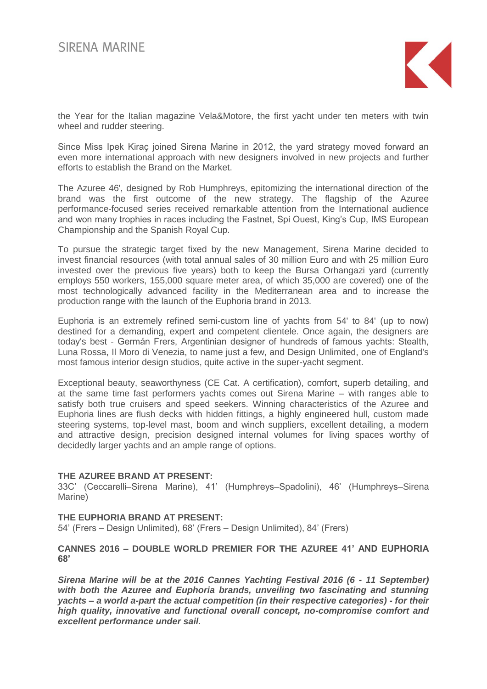

the Year for the Italian magazine Vela&Motore, the first yacht under ten meters with twin wheel and rudder steering.

Since Miss Ipek Kiraç joined Sirena Marine in 2012, the yard strategy moved forward an even more international approach with new designers involved in new projects and further efforts to establish the Brand on the Market.

The Azuree 46', designed by Rob Humphreys, epitomizing the international direction of the brand was the first outcome of the new strategy. The flagship of the Azuree performance-focused series received remarkable attention from the International audience and won many trophies in races including the Fastnet, Spi Ouest, King's Cup, IMS European Championship and the Spanish Royal Cup.

To pursue the strategic target fixed by the new Management, Sirena Marine decided to invest financial resources (with total annual sales of 30 million Euro and with 25 million Euro invested over the previous five years) both to keep the Bursa Orhangazi yard (currently employs 550 workers, 155,000 square meter area, of which 35,000 are covered) one of the most technologically advanced facility in the Mediterranean area and to increase the production range with the launch of the Euphoria brand in 2013.

Euphoria is an extremely refined semi-custom line of yachts from 54' to 84' (up to now) destined for a demanding, expert and competent clientele. Once again, the designers are today's best - Germán Frers, Argentinian designer of hundreds of famous yachts: Stealth, Luna Rossa, Il Moro di Venezia, to name just a few, and Design Unlimited, one of England's most famous interior design studios, quite active in the super-yacht segment.

Exceptional beauty, seaworthyness (CE Cat. A certification), comfort, superb detailing, and at the same time fast performers yachts comes out Sirena Marine – with ranges able to satisfy both true cruisers and speed seekers. Winning characteristics of the Azuree and Euphoria lines are flush decks with hidden fittings, a highly engineered hull, custom made steering systems, top-level mast, boom and winch suppliers, excellent detailing, a modern and attractive design, precision designed internal volumes for living spaces worthy of decidedly larger yachts and an ample range of options.

## **THE AZUREE BRAND AT PRESENT:**

33C' (Ceccarelli–Sirena Marine), 41' (Humphreys–Spadolini), 46' (Humphreys–Sirena Marine)

## **THE EUPHORIA BRAND AT PRESENT:**

54' (Frers – Design Unlimited), 68' (Frers – Design Unlimited), 84' (Frers)

# **CANNES 2016 – DOUBLE WORLD PREMIER FOR THE AZUREE 41' AND EUPHORIA 68'**

*Sirena Marine will be at the 2016 Cannes Yachting Festival 2016 (6 - 11 September) with both the Azuree and Euphoria brands, unveiling two fascinating and stunning yachts – a world a-part the actual competition (in their respective categories) - for their high quality, innovative and functional overall concept, no-compromise comfort and excellent performance under sail.*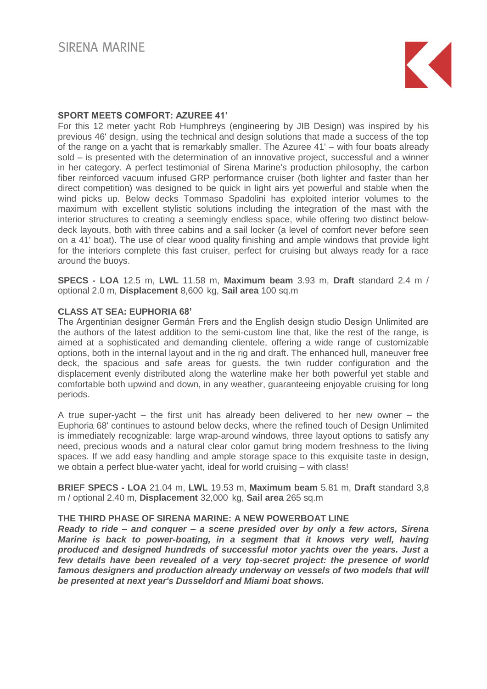

# **SPORT MEETS COMFORT: AZUREE 41'**

For this 12 meter yacht Rob Humphreys (engineering by JIB Design) was inspired by his previous 46' design, using the technical and design solutions that made a success of the top of the range on a yacht that is remarkably smaller. The Azuree 41' – with four boats already sold – is presented with the determination of an innovative project, successful and a winner in her category. A perfect testimonial of Sirena Marine's production philosophy, the carbon fiber reinforced vacuum infused GRP performance cruiser (both lighter and faster than her direct competition) was designed to be quick in light airs yet powerful and stable when the wind picks up. Below decks Tommaso Spadolini has exploited interior volumes to the maximum with excellent stylistic solutions including the integration of the mast with the interior structures to creating a seemingly endless space, while offering two distinct belowdeck layouts, both with three cabins and a sail locker (a level of comfort never before seen on a 41' boat). The use of clear wood quality finishing and ample windows that provide light for the interiors complete this fast cruiser, perfect for cruising but always ready for a race around the buoys.

**SPECS - LOA** 12.5 m, **LWL** 11.58 m, **Maximum beam** 3.93 m, **Draft** standard 2.4 m / optional 2.0 m, **Displacement** 8,600 kg, **Sail area** 100 sq.m

# **CLASS AT SEA: EUPHORIA 68'**

The Argentinian designer Germán Frers and the English design studio Design Unlimited are the authors of the latest addition to the semi-custom line that, like the rest of the range, is aimed at a sophisticated and demanding clientele, offering a wide range of customizable options, both in the internal layout and in the rig and draft. The enhanced hull, maneuver free deck, the spacious and safe areas for guests, the twin rudder configuration and the displacement evenly distributed along the waterline make her both powerful yet stable and comfortable both upwind and down, in any weather, guaranteeing enjoyable cruising for long periods.

A true super-yacht – the first unit has already been delivered to her new owner – the Euphoria 68' continues to astound below decks, where the refined touch of Design Unlimited is immediately recognizable: large wrap-around windows, three layout options to satisfy any need, precious woods and a natural clear color gamut bring modern freshness to the living spaces. If we add easy handling and ample storage space to this exquisite taste in design, we obtain a perfect blue-water yacht, ideal for world cruising – with class!

**BRIEF SPECS - LOA** 21.04 m, **LWL** 19.53 m, **Maximum beam** 5.81 m, **Draft** standard 3,8 m / optional 2.40 m, **Displacement** 32,000 kg, **Sail area** 265 sq.m

## **THE THIRD PHASE OF SIRENA MARINE: A NEW POWERBOAT LINE**

*Ready to ride – and conquer – a scene presided over by only a few actors, Sirena Marine is back to power-boating, in a segment that it knows very well, having produced and designed hundreds of successful motor yachts over the years. Just a few details have been revealed of a very top-secret project: the presence of world*  famous designers and production already underway on vessels of two models that will *be presented at next year's Dusseldorf and Miami boat shows.*